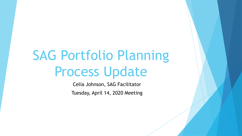# SAG Portfolio Planning Process Update

Celia Johnson, SAG Facilitator

Tuesday, April 14, 2020 Meeting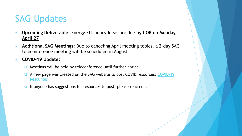## SAG Updates

- **Upcoming Deliverable:** Energy Efficiency Ideas are due **by COB on Monday, April 27**
- **Additional SAG Meetings:** Due to canceling April meeting topics, a 2-day SAG teleconference meeting will be scheduled in August
- **COVID-19 Update:** 
	- ❑ Meetings will be held by teleconference until further notice
	- □ [A new page was created on the SAG website to post COVID resources: COVID-19](https://www.ilsag.info/resources/covid-19-resources/) **Resources**
	- ❑ If anyone has suggestions for resources to post, please reach out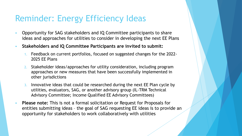#### Reminder: Energy Efficiency Ideas

- Opportunity for SAG stakeholders and IQ Committee participants to share ideas and approaches for utilities to consider in developing the next EE Plans
- **Stakeholders and IQ Committee Participants are invited to submit:**
	- 1. Feedback on current portfolios, focused on suggested changes for the 2022- 2025 EE Plans
	- 2. Stakeholder ideas/approaches for utility consideration, including program approaches or new measures that have been successfully implemented in other jurisdictions
	- 3. Innovative ideas that could be researched during the next EE Plan cycle by utilities, evaluators, SAG, or another advisory group (IL-TRM Technical Advisory Committee; Income Qualified EE Advisory Committees)
- **Please note:** This is not a formal solicitation or Request for Proposals for entities submitting ideas – the goal of SAG requesting EE ideas is to provide an opportunity for stakeholders to work collaboratively with utilities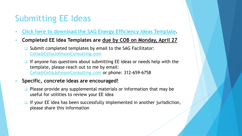## Submitting EE Ideas

- **[Click here to download the SAG Energy Efficiency Ideas Template.](https://s3.amazonaws.com/ilsag/2020-SAG-Portfolio-Planning-Process_EE-Ideas-Template_updated_final.docx)**
- **Completed EE Idea Templates are due by COB on Monday, April 27**
	- ❑ Submit completed templates by email to the SAG Facilitator: [Celia@CeliaJohnsonConsulting.com](mailto:Celia@CeliaJohnsonConsulting.com)
	- ❑ If anyone has questions about submitting EE ideas or needs help with the template, please reach out to me by email: [Celia@CeliaJohnsonConsulting.com](mailto:Celia@CeliaJohnsonConsulting.com) or phone: 312-659-6758
- Specific, concrete ideas are encouraged!
	- ❑ Please provide any supplemental materials or information that may be useful for utilities to review your EE idea
	- ❑ If your EE idea has been successfully implemented in another jurisdiction, please share this information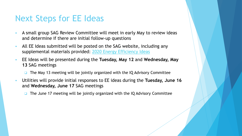#### Next Steps for EE Ideas

- A small group SAG Review Committee will meet in early May to review ideas and determine if there are initial follow-up questions
- All EE Ideas submitted will be posted on the SAG website, including any supplemental materials provided: [2020 Energy Efficiency Ideas](https://www.ilsag.info/2020-energy-efficiency-ideas/)
- EE Ideas will be presented during the **Tuesday, May 12** and **Wednesday, May 13** SAG meetings
	- ❑ The May 13 meeting will be jointly organized with the IQ Advisory Committee
- Utilities will provide initial responses to EE ideas during the **Tuesday, June 16**  and **Wednesday, June 17** SAG meetings

❑ The June 17 meeting will be jointly organized with the IQ Advisory Committee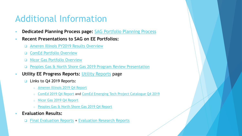## Additional Information

- **Dedicated Planning Process page: [SAG Portfolio Planning Process](https://www.ilsag.info/meetings/portfolio-planning-process/)**
- **Recent Presentations to SAG on EE Portfolios:**
	- ❑ [Ameren Illinois PY2019 Results Overview](https://s3.amazonaws.com/ilsag/AIC-PY2019-Presentation-SAG-MAR_Final-Version.pdf)
	- ❑ [ComEd Portfolio Overview](https://s3.amazonaws.com/ilsag/ComEd_2020-March-SAG_Final.pdf)
	- ❑ [Nicor Gas Portfolio Overview](https://s3.amazonaws.com/ilsag/Nicor-Gas-EE-Portfolio-Overview-SAG-3-11-20-Final-1.pdf)
	- ❑ [Peoples Gas & North Shore Gas 2019 Program Review Presentation](https://s3.amazonaws.com/ilsag/PGL-NSG_2019-Q4-SAG_FINAL_3-10-2020.pdf)
- **Utility EE Progress Reports: [Utility Reports](https://www.ilsag.info/reports/utility-reports/) page** 
	- ❑ Links to Q4 2019 Reports:
		- [Ameren Illinois 2019 Q4 Report](https://s3.amazonaws.com/ilsag/PY19-Ameren-Illinois-Q4-Report-FInal.pdf)
		- o [ComEd 2019 Q4 Report](https://s3.amazonaws.com/ilsag/ComEd_CY2019_Q4_EE_Report.pdf) and [ComEd Emerging Tech Project Catalogue Q4 2019](https://s3.amazonaws.com/ilsag/ComEd-Emerging-Tech-Project-Catalogue-Q4-2019.pdf)
		- [Nicor Gas 2019 Q4 Report](https://s3.amazonaws.com/ilsag/Nicor_Gas_2019_Q4_Report.pdf)
		- [Peoples Gas & North Shore Gas 2019 Q4 Report](https://s3.amazonaws.com/ilsag/2019_Q4_ICC_Supplemental_Quarterly_Report_PGL-NSG.pdf)
- **Evaluation Results:** 
	- ❑ [Final Evaluation Reports](https://www.ilsag.info/evaluation-documents/final-evaluation-reports/) + [Evaluation Research Reports](https://www.ilsag.info/evaluation-documents/evaluation-research/)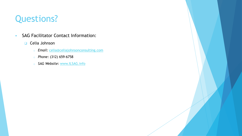# Questions?

- SAG Facilitator Contact Information:
	- ❑ Celia Johnson
		- o *Email:* [celia@celiajohnsonconsulting.com](mailto:celia@celiajohnsonconsulting.com)
		- o *Phone:* (312) 659-6758
		- o *SAG Website:* [www.ILSAG.info](http://www.ilsag.info/)